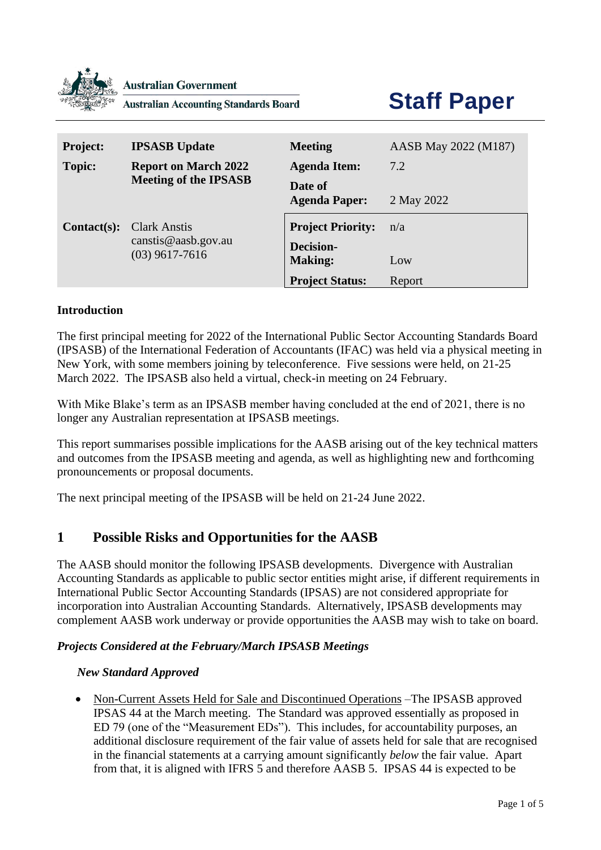

#### **Australian Government**

**Australian Accounting Standards Board** 

# **Staff Paper**

| <b>Project:</b> | <b>IPSASB</b> Update                                           | <b>Meeting</b>                               | AASB May 2022 (M187) |
|-----------------|----------------------------------------------------------------|----------------------------------------------|----------------------|
| <b>Topic:</b>   | <b>Report on March 2022</b><br><b>Meeting of the IPSASB</b>    | <b>Agenda Item:</b>                          | 7.2                  |
|                 |                                                                | Date of<br><b>Agenda Paper:</b>              | 2 May 2022           |
| $Context(s):$   | <b>Clark Anstis</b><br>canstis@aasb.gov.au<br>$(03)$ 9617-7616 | <b>Project Priority:</b><br><b>Decision-</b> | n/a                  |
|                 |                                                                | <b>Making:</b>                               | Low                  |
|                 |                                                                | <b>Project Status:</b>                       | Report               |

#### **Introduction**

The first principal meeting for 2022 of the International Public Sector Accounting Standards Board (IPSASB) of the International Federation of Accountants (IFAC) was held via a physical meeting in New York, with some members joining by teleconference. Five sessions were held, on 21-25 March 2022. The IPSASB also held a virtual, check-in meeting on 24 February.

With Mike Blake's term as an IPSASB member having concluded at the end of 2021, there is no longer any Australian representation at IPSASB meetings.

This report summarises possible implications for the AASB arising out of the key technical matters and outcomes from the IPSASB meeting and agenda, as well as highlighting new and forthcoming pronouncements or proposal documents.

The next principal meeting of the IPSASB will be held on 21-24 June 2022.

## **1 Possible Risks and Opportunities for the AASB**

The AASB should monitor the following IPSASB developments. Divergence with Australian Accounting Standards as applicable to public sector entities might arise, if different requirements in International Public Sector Accounting Standards (IPSAS) are not considered appropriate for incorporation into Australian Accounting Standards. Alternatively, IPSASB developments may complement AASB work underway or provide opportunities the AASB may wish to take on board.

#### *Projects Considered at the February/March IPSASB Meetings*

#### *New Standard Approved*

• Non-Current Assets Held for Sale and Discontinued Operations –The IPSASB approved IPSAS 44 at the March meeting. The Standard was approved essentially as proposed in ED 79 (one of the "Measurement EDs"). This includes, for accountability purposes, an additional disclosure requirement of the fair value of assets held for sale that are recognised in the financial statements at a carrying amount significantly *below* the fair value. Apart from that, it is aligned with IFRS 5 and therefore AASB 5. IPSAS 44 is expected to be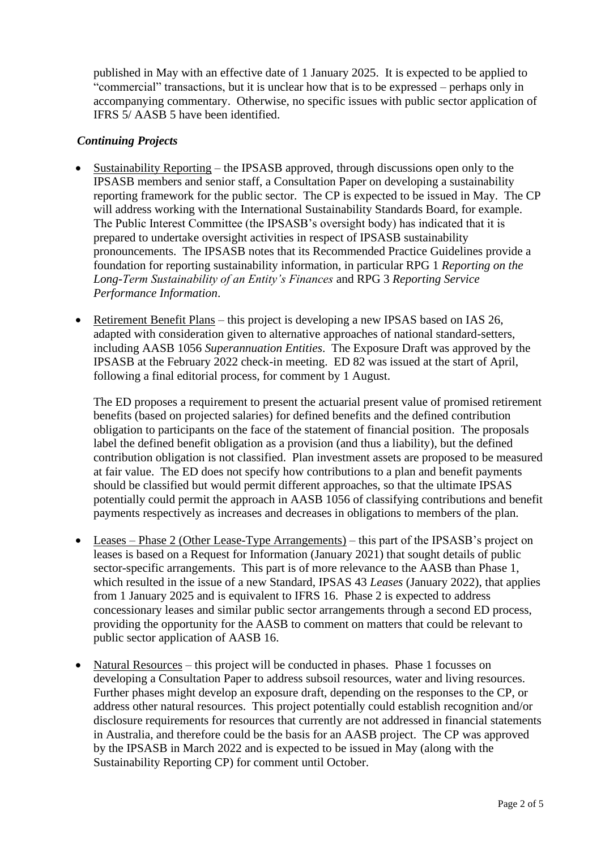published in May with an effective date of 1 January 2025. It is expected to be applied to "commercial" transactions, but it is unclear how that is to be expressed – perhaps only in accompanying commentary. Otherwise, no specific issues with public sector application of IFRS 5/ AASB 5 have been identified.

### *Continuing Projects*

- Sustainability Reporting the IPSASB approved, through discussions open only to the IPSASB members and senior staff, a Consultation Paper on developing a sustainability reporting framework for the public sector. The CP is expected to be issued in May. The CP will address working with the International Sustainability Standards Board, for example. The Public Interest Committee (the IPSASB's oversight body) has indicated that it is prepared to undertake oversight activities in respect of IPSASB sustainability pronouncements. The IPSASB notes that its Recommended Practice Guidelines provide a foundation for reporting sustainability information, in particular RPG 1 *Reporting on the Long-Term Sustainability of an Entity's Finances* and RPG 3 *Reporting Service Performance Information*.
- Retirement Benefit Plans this project is developing a new IPSAS based on IAS 26, adapted with consideration given to alternative approaches of national standard-setters, including AASB 1056 *Superannuation Entities*. The Exposure Draft was approved by the IPSASB at the February 2022 check-in meeting. ED 82 was issued at the start of April, following a final editorial process, for comment by 1 August.

The ED proposes a requirement to present the actuarial present value of promised retirement benefits (based on projected salaries) for defined benefits and the defined contribution obligation to participants on the face of the statement of financial position. The proposals label the defined benefit obligation as a provision (and thus a liability), but the defined contribution obligation is not classified. Plan investment assets are proposed to be measured at fair value. The ED does not specify how contributions to a plan and benefit payments should be classified but would permit different approaches, so that the ultimate IPSAS potentially could permit the approach in AASB 1056 of classifying contributions and benefit payments respectively as increases and decreases in obligations to members of the plan.

- Leases Phase 2 (Other Lease-Type Arrangements) this part of the IPSASB's project on leases is based on a Request for Information (January 2021) that sought details of public sector-specific arrangements. This part is of more relevance to the AASB than Phase 1, which resulted in the issue of a new Standard, IPSAS 43 *Leases* (January 2022), that applies from 1 January 2025 and is equivalent to IFRS 16. Phase 2 is expected to address concessionary leases and similar public sector arrangements through a second ED process, providing the opportunity for the AASB to comment on matters that could be relevant to public sector application of AASB 16.
- Natural Resources this project will be conducted in phases. Phase 1 focusses on developing a Consultation Paper to address subsoil resources, water and living resources. Further phases might develop an exposure draft, depending on the responses to the CP, or address other natural resources. This project potentially could establish recognition and/or disclosure requirements for resources that currently are not addressed in financial statements in Australia, and therefore could be the basis for an AASB project. The CP was approved by the IPSASB in March 2022 and is expected to be issued in May (along with the Sustainability Reporting CP) for comment until October.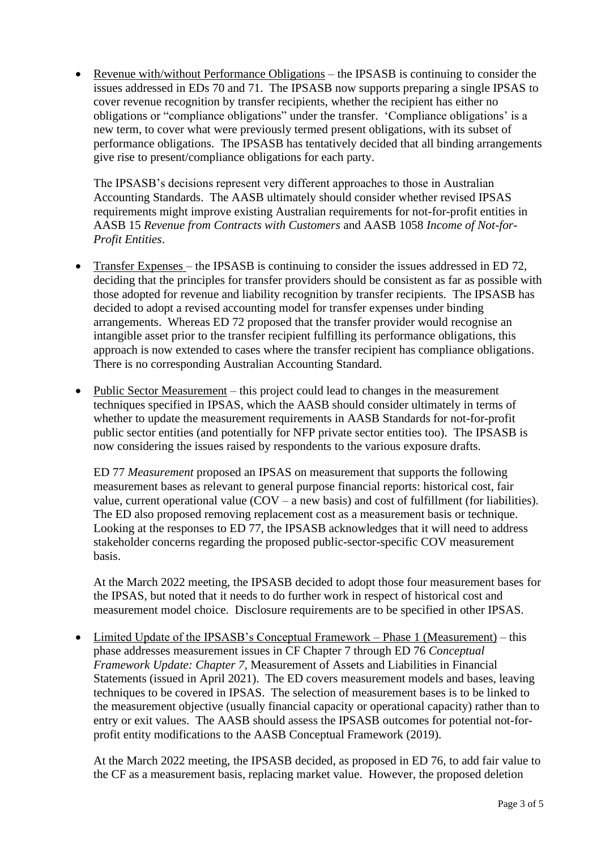• Revenue with/without Performance Obligations – the IPSASB is continuing to consider the issues addressed in EDs 70 and 71. The IPSASB now supports preparing a single IPSAS to cover revenue recognition by transfer recipients, whether the recipient has either no obligations or "compliance obligations" under the transfer. 'Compliance obligations' is a new term, to cover what were previously termed present obligations, with its subset of performance obligations. The IPSASB has tentatively decided that all binding arrangements give rise to present/compliance obligations for each party.

The IPSASB's decisions represent very different approaches to those in Australian Accounting Standards. The AASB ultimately should consider whether revised IPSAS requirements might improve existing Australian requirements for not-for-profit entities in AASB 15 *Revenue from Contracts with Customers* and AASB 1058 *Income of Not-for-Profit Entities*.

- Transfer Expenses the IPSASB is continuing to consider the issues addressed in ED 72, deciding that the principles for transfer providers should be consistent as far as possible with those adopted for revenue and liability recognition by transfer recipients. The IPSASB has decided to adopt a revised accounting model for transfer expenses under binding arrangements. Whereas ED 72 proposed that the transfer provider would recognise an intangible asset prior to the transfer recipient fulfilling its performance obligations, this approach is now extended to cases where the transfer recipient has compliance obligations. There is no corresponding Australian Accounting Standard.
- Public Sector Measurement this project could lead to changes in the measurement techniques specified in IPSAS, which the AASB should consider ultimately in terms of whether to update the measurement requirements in AASB Standards for not-for-profit public sector entities (and potentially for NFP private sector entities too). The IPSASB is now considering the issues raised by respondents to the various exposure drafts.

ED 77 *Measurement* proposed an IPSAS on measurement that supports the following measurement bases as relevant to general purpose financial reports: historical cost, fair value, current operational value (COV – a new basis) and cost of fulfillment (for liabilities). The ED also proposed removing replacement cost as a measurement basis or technique. Looking at the responses to ED 77, the IPSASB acknowledges that it will need to address stakeholder concerns regarding the proposed public-sector-specific COV measurement basis.

At the March 2022 meeting, the IPSASB decided to adopt those four measurement bases for the IPSAS, but noted that it needs to do further work in respect of historical cost and measurement model choice. Disclosure requirements are to be specified in other IPSAS.

• Limited Update of the IPSASB's Conceptual Framework – Phase 1 (Measurement) – this phase addresses measurement issues in CF Chapter 7 through ED 76 *Conceptual Framework Update: Chapter 7,* Measurement of Assets and Liabilities in Financial Statements (issued in April 2021). The ED covers measurement models and bases, leaving techniques to be covered in IPSAS. The selection of measurement bases is to be linked to the measurement objective (usually financial capacity or operational capacity) rather than to entry or exit values. The AASB should assess the IPSASB outcomes for potential not-forprofit entity modifications to the AASB Conceptual Framework (2019).

At the March 2022 meeting, the IPSASB decided, as proposed in ED 76, to add fair value to the CF as a measurement basis, replacing market value. However, the proposed deletion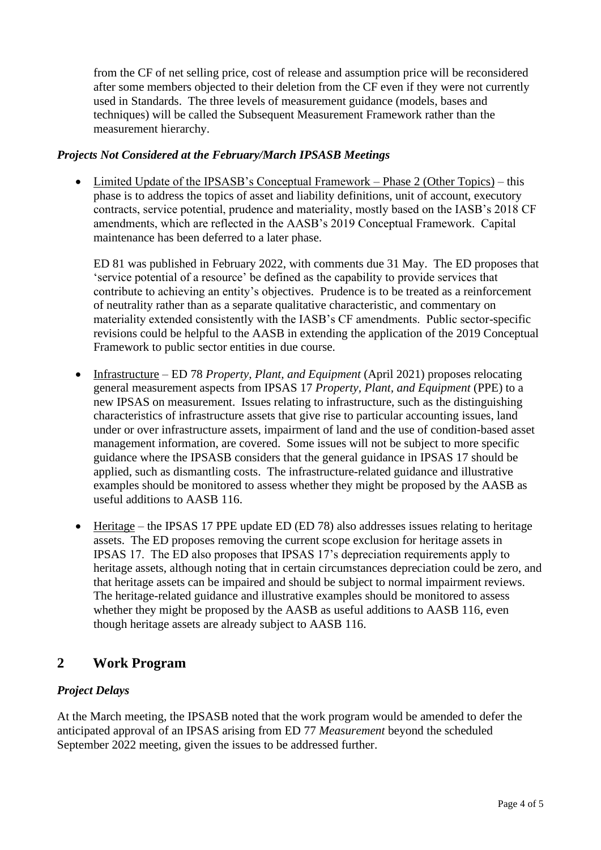from the CF of net selling price, cost of release and assumption price will be reconsidered after some members objected to their deletion from the CF even if they were not currently used in Standards. The three levels of measurement guidance (models, bases and techniques) will be called the Subsequent Measurement Framework rather than the measurement hierarchy.

#### *Projects Not Considered at the February/March IPSASB Meetings*

• Limited Update of the IPSASB's Conceptual Framework – Phase 2 (Other Topics) – this phase is to address the topics of asset and liability definitions, unit of account, executory contracts, service potential, prudence and materiality, mostly based on the IASB's 2018 CF amendments, which are reflected in the AASB's 2019 Conceptual Framework. Capital maintenance has been deferred to a later phase.

ED 81 was published in February 2022, with comments due 31 May. The ED proposes that 'service potential of a resource' be defined as the capability to provide services that contribute to achieving an entity's objectives. Prudence is to be treated as a reinforcement of neutrality rather than as a separate qualitative characteristic, and commentary on materiality extended consistently with the IASB's CF amendments. Public sector-specific revisions could be helpful to the AASB in extending the application of the 2019 Conceptual Framework to public sector entities in due course.

- Infrastructure ED 78 *Property, Plant, and Equipment* (April 2021) proposes relocating general measurement aspects from IPSAS 17 *Property, Plant, and Equipment* (PPE) to a new IPSAS on measurement. Issues relating to infrastructure, such as the distinguishing characteristics of infrastructure assets that give rise to particular accounting issues, land under or over infrastructure assets, impairment of land and the use of condition-based asset management information, are covered. Some issues will not be subject to more specific guidance where the IPSASB considers that the general guidance in IPSAS 17 should be applied, such as dismantling costs. The infrastructure-related guidance and illustrative examples should be monitored to assess whether they might be proposed by the AASB as useful additions to AASB 116.
- Heritage the IPSAS 17 PPE update ED (ED 78) also addresses issues relating to heritage assets. The ED proposes removing the current scope exclusion for heritage assets in IPSAS 17. The ED also proposes that IPSAS 17's depreciation requirements apply to heritage assets, although noting that in certain circumstances depreciation could be zero, and that heritage assets can be impaired and should be subject to normal impairment reviews. The heritage-related guidance and illustrative examples should be monitored to assess whether they might be proposed by the AASB as useful additions to AASB 116, even though heritage assets are already subject to AASB 116.

## **2 Work Program**

## *Project Delays*

At the March meeting, the IPSASB noted that the work program would be amended to defer the anticipated approval of an IPSAS arising from ED 77 *Measurement* beyond the scheduled September 2022 meeting, given the issues to be addressed further.